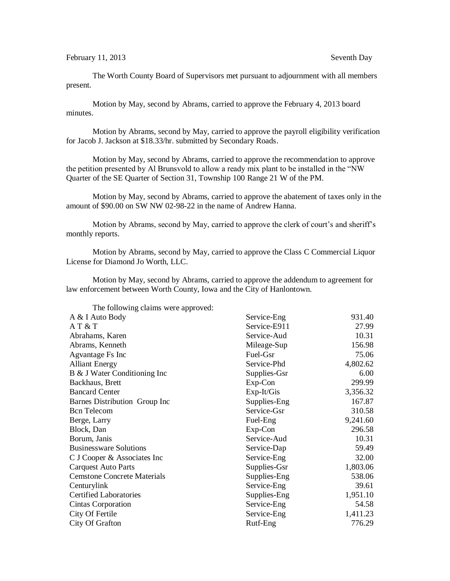The Worth County Board of Supervisors met pursuant to adjournment with all members present.

Motion by May, second by Abrams, carried to approve the February 4, 2013 board minutes.

Motion by Abrams, second by May, carried to approve the payroll eligibility verification for Jacob J. Jackson at \$18.33/hr. submitted by Secondary Roads.

Motion by May, second by Abrams, carried to approve the recommendation to approve the petition presented by Al Brunsvold to allow a ready mix plant to be installed in the "NW Quarter of the SE Quarter of Section 31, Township 100 Range 21 W of the PM.

Motion by May, second by Abrams, carried to approve the abatement of taxes only in the amount of \$90.00 on SW NW 02-98-22 in the name of Andrew Hanna.

Motion by Abrams, second by May, carried to approve the clerk of court's and sheriff's monthly reports.

Motion by Abrams, second by May, carried to approve the Class C Commercial Liquor License for Diamond Jo Worth, LLC.

Motion by May, second by Abrams, carried to approve the addendum to agreement for law enforcement between Worth County, Iowa and the City of Hanlontown.

The following claims were approved:

| A & I Auto Body                    | Service-Eng  | 931.40   |
|------------------------------------|--------------|----------|
| AT & T                             | Service-E911 | 27.99    |
| Abrahams, Karen                    | Service-Aud  | 10.31    |
| Abrams, Kenneth                    | Mileage-Sup  | 156.98   |
| Agvantage Fs Inc                   | Fuel-Gsr     | 75.06    |
| <b>Alliant Energy</b>              | Service-Phd  | 4,802.62 |
| B & J Water Conditioning Inc       | Supplies-Gsr | 6.00     |
| Backhaus, Brett                    | Exp-Con      | 299.99   |
| <b>Bancard Center</b>              | Exp-It/Gis   | 3,356.32 |
| Barnes Distribution Group Inc      | Supplies-Eng | 167.87   |
| <b>Bcn</b> Telecom                 | Service-Gsr  | 310.58   |
| Berge, Larry                       | Fuel-Eng     | 9,241.60 |
| Block, Dan                         | Exp-Con      | 296.58   |
| Borum, Janis                       | Service-Aud  | 10.31    |
| <b>Businessware Solutions</b>      | Service-Dap  | 59.49    |
| C J Cooper & Associates Inc        | Service-Eng  | 32.00    |
| <b>Carquest Auto Parts</b>         | Supplies-Gsr | 1,803.06 |
| <b>Cemstone Concrete Materials</b> | Supplies-Eng | 538.06   |
| Centurylink                        | Service-Eng  | 39.61    |
| <b>Certified Laboratories</b>      | Supplies-Eng | 1,951.10 |
| Cintas Corporation                 | Service-Eng  | 54.58    |
| City Of Fertile                    | Service-Eng  | 1,411.23 |
| City Of Grafton                    | Rutf-Eng     | 776.29   |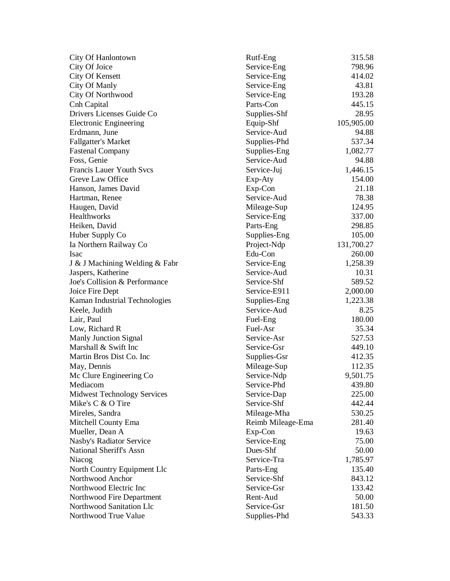| City Of Hanlontown                 | Rutf-Eng          | 315.58     |
|------------------------------------|-------------------|------------|
| City Of Joice                      | Service-Eng       | 798.96     |
| City Of Kensett                    | Service-Eng       | 414.02     |
| City Of Manly                      | Service-Eng       | 43.81      |
| City Of Northwood                  | Service-Eng       | 193.28     |
| Cnh Capital                        | Parts-Con         | 445.15     |
| Drivers Licenses Guide Co          | Supplies-Shf      | 28.95      |
| <b>Electronic Engineering</b>      | Equip-Shf         | 105,905.00 |
| Erdmann, June                      | Service-Aud       | 94.88      |
| <b>Fallgatter's Market</b>         | Supplies-Phd      | 537.34     |
| <b>Fastenal Company</b>            | Supplies-Eng      | 1,082.77   |
| Foss, Genie                        | Service-Aud       | 94.88      |
| <b>Francis Lauer Youth Svcs</b>    | Service-Juj       | 1,446.15   |
| Greve Law Office                   | Exp-Aty           | 154.00     |
| Hanson, James David                | Exp-Con           | 21.18      |
| Hartman, Renee                     | Service-Aud       | 78.38      |
| Haugen, David                      | Mileage-Sup       | 124.95     |
| Healthworks                        | Service-Eng       | 337.00     |
| Heiken, David                      | Parts-Eng         | 298.85     |
| Huber Supply Co                    | Supplies-Eng      | 105.00     |
| Ia Northern Railway Co             | Project-Ndp       | 131,700.27 |
| Isac                               | Edu-Con           | 260.00     |
| J & J Machining Welding & Fabr     | Service-Eng       | 1,258.39   |
| Jaspers, Katherine                 | Service-Aud       | 10.31      |
| Joe's Collision & Performance      | Service-Shf       | 589.52     |
| Joice Fire Dept                    | Service-E911      | 2,000.00   |
| Kaman Industrial Technologies      | Supplies-Eng      | 1,223.38   |
| Keele, Judith                      | Service-Aud       | 8.25       |
| Lair, Paul                         | Fuel-Eng          | 180.00     |
| Low, Richard R                     | Fuel-Asr          | 35.34      |
| <b>Manly Junction Signal</b>       | Service-Asr       | 527.53     |
| Marshall & Swift Inc               | Service-Gsr       | 449.10     |
| Martin Bros Dist Co. Inc           | Supplies-Gsr      | 412.35     |
| May, Dennis                        | Mileage-Sup       | 112.35     |
| Mc Clure Engineering Co            | Service-Ndp       | 9,501.75   |
| Mediacom                           | Service-Phd       | 439.80     |
| <b>Midwest Technology Services</b> | Service-Dap       | 225.00     |
| Mike's C & O Tire                  | Service-Shf       | 442.44     |
| Mireles, Sandra                    | Mileage-Mha       | 530.25     |
| Mitchell County Ema                | Reimb Mileage-Ema | 281.40     |
| Mueller, Dean A                    | Exp-Con           | 19.63      |
| Nasby's Radiator Service           | Service-Eng       | 75.00      |
| National Sheriff's Assn            | Dues-Shf          | 50.00      |
| Niacog                             | Service-Tra       | 1,785.97   |
| North Country Equipment Llc        | Parts-Eng         | 135.40     |
| Northwood Anchor                   | Service-Shf       | 843.12     |
| Northwood Electric Inc             | Service-Gsr       | 133.42     |
| Northwood Fire Department          | Rent-Aud          | 50.00      |
| Northwood Sanitation Llc           | Service-Gsr       | 181.50     |
| Northwood True Value               | Supplies-Phd      | 543.33     |
|                                    |                   |            |